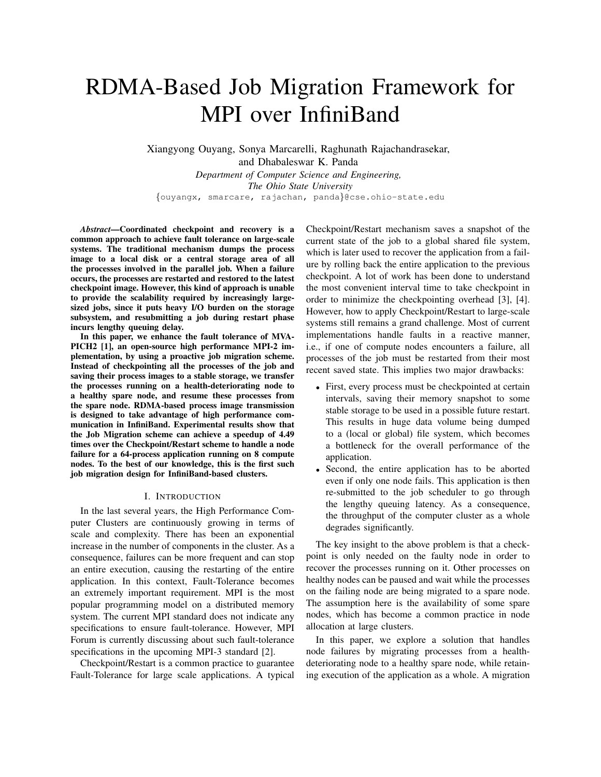# RDMA-Based Job Migration Framework for MPI over InfiniBand

Xiangyong Ouyang, Sonya Marcarelli, Raghunath Rajachandrasekar, and Dhabaleswar K. Panda *Department of Computer Science and Engineering, The Ohio State University* {ouyangx, smarcare, rajachan, panda}@cse.ohio-state.edu

*Abstract*—Coordinated checkpoint and recovery is a common approach to achieve fault tolerance on large-scale systems. The traditional mechanism dumps the process image to a local disk or a central storage area of all the processes involved in the parallel job. When a failure occurs, the processes are restarted and restored to the latest checkpoint image. However, this kind of approach is unable to provide the scalability required by increasingly largesized jobs, since it puts heavy I/O burden on the storage subsystem, and resubmitting a job during restart phase incurs lengthy queuing delay.

In this paper, we enhance the fault tolerance of MVA-PICH2 [1], an open-source high performance MPI-2 implementation, by using a proactive job migration scheme. Instead of checkpointing all the processes of the job and saving their process images to a stable storage, we transfer the processes running on a health-deteriorating node to a healthy spare node, and resume these processes from the spare node. RDMA-based process image transmission is designed to take advantage of high performance communication in InfiniBand. Experimental results show that the Job Migration scheme can achieve a speedup of 4.49 times over the Checkpoint/Restart scheme to handle a node failure for a 64-process application running on 8 compute nodes. To the best of our knowledge, this is the first such job migration design for InfiniBand-based clusters.

## I. INTRODUCTION

In the last several years, the High Performance Computer Clusters are continuously growing in terms of scale and complexity. There has been an exponential increase in the number of components in the cluster. As a consequence, failures can be more frequent and can stop an entire execution, causing the restarting of the entire application. In this context, Fault-Tolerance becomes an extremely important requirement. MPI is the most popular programming model on a distributed memory system. The current MPI standard does not indicate any specifications to ensure fault-tolerance. However, MPI Forum is currently discussing about such fault-tolerance specifications in the upcoming MPI-3 standard [2].

Checkpoint/Restart is a common practice to guarantee Fault-Tolerance for large scale applications. A typical Checkpoint/Restart mechanism saves a snapshot of the current state of the job to a global shared file system, which is later used to recover the application from a failure by rolling back the entire application to the previous checkpoint. A lot of work has been done to understand the most convenient interval time to take checkpoint in order to minimize the checkpointing overhead [3], [4]. However, how to apply Checkpoint/Restart to large-scale systems still remains a grand challenge. Most of current implementations handle faults in a reactive manner, i.e., if one of compute nodes encounters a failure, all processes of the job must be restarted from their most recent saved state. This implies two major drawbacks:

- First, every process must be checkpointed at certain intervals, saving their memory snapshot to some stable storage to be used in a possible future restart. This results in huge data volume being dumped to a (local or global) file system, which becomes a bottleneck for the overall performance of the application.
- Second, the entire application has to be aborted even if only one node fails. This application is then re-submitted to the job scheduler to go through the lengthy queuing latency. As a consequence, the throughput of the computer cluster as a whole degrades significantly.

The key insight to the above problem is that a checkpoint is only needed on the faulty node in order to recover the processes running on it. Other processes on healthy nodes can be paused and wait while the processes on the failing node are being migrated to a spare node. The assumption here is the availability of some spare nodes, which has become a common practice in node allocation at large clusters.

In this paper, we explore a solution that handles node failures by migrating processes from a healthdeteriorating node to a healthy spare node, while retaining execution of the application as a whole. A migration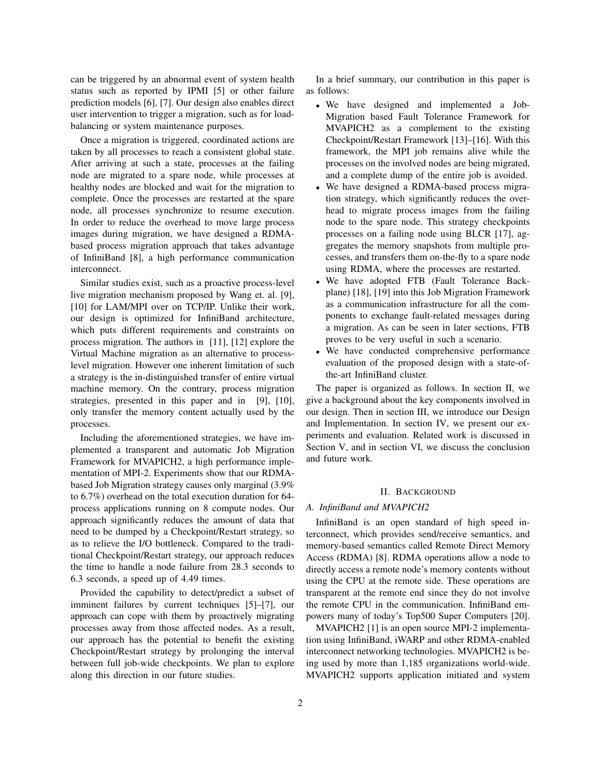can be triggered by an abnormal event of system health status such as reported by IPMI [5] or other failure prediction models [6], [7]. Our design also enables direct user intervention to trigger a migration, such as for loadbalancing or system maintenance purposes.

Once a migration is triggered, coordinated actions are taken by all processes to reach a consistent global state. After arriving at such a state, processes at the failing node are migrated to a spare node, while processes at healthy nodes are blocked and wait for the migration to complete. Once the processes are restarted at the spare node, all processes synchronize to resume execution. In order to reduce the overhead to move large process images during migration, we have designed a RDMAbased process migration approach that takes advantage of InfiniBand [8], a high performance communication interconnect.

Similar studies exist, such as a proactive process-level live migration mechanism proposed by Wang et. al. [9], [10] for LAM/MPI over on TCP/IP. Unlike their work, our design is optimized for InfiniBand architecture, which puts different requirements and constraints on process migration. The authors in [11], [12] explore the Virtual Machine migration as an alternative to processlevel migration. However one inherent limitation of such a strategy is the in-distinguished transfer of entire virtual machine memory. On the contrary, process migration strategies, presented in this paper and in [9], [10], only transfer the memory content actually used by the processes.

Including the aforementioned strategies, we have implemented a transparent and automatic Job Migration Framework for MVAPICH2, a high performance implementation of MPI-2. Experiments show that our RDMAbased Job Migration strategy causes only marginal (3.9% to 6.7%) overhead on the total execution duration for 64 process applications running on 8 compute nodes. Our approach significantly reduces the amount of data that need to be dumped by a Checkpoint/Restart strategy, so as to relieve the I/O bottleneck. Compared to the traditional Checkpoint/Restart strategy, our approach reduces the time to handle a node failure from 28.3 seconds to 6.3 seconds, a speed up of 4.49 times.

Provided the capability to detect/predict a subset of imminent failures by current techniques [5]–[7], our approach can cope with them by proactively migrating processes away from those affected nodes. As a result, our approach has the potential to benefit the existing Checkpoint/Restart strategy by prolonging the interval between full job-wide checkpoints. We plan to explore along this direction in our future studies.

In a brief summary, our contribution in this paper is as follows:

- We have designed and implemented a Job-Migration based Fault Tolerance Framework for MVAPICH2 as a complement to the existing Checkpoint/Restart Framework [13]–[16]. With this framework, the MPI job remains alive while the processes on the involved nodes are being migrated, and a complete dump of the entire job is avoided.
- We have designed a RDMA-based process migration strategy, which significantly reduces the overhead to migrate process images from the failing node to the spare node. This strategy checkpoints processes on a failing node using BLCR [17], aggregates the memory snapshots from multiple processes, and transfers them on-the-fly to a spare node using RDMA, where the processes are restarted.
- We have adopted FTB (Fault Tolerance Backplane) [18], [19] into this Job Migration Framework as a communication infrastructure for all the components to exchange fault-related messages during a migration. As can be seen in later sections, FTB proves to be very useful in such a scenario.
- We have conducted comprehensive performance evaluation of the proposed design with a state-ofthe-art InfiniBand cluster.

The paper is organized as follows. In section II, we give a background about the key components involved in our design. Then in section III, we introduce our Design and Implementation. In section IV, we present our experiments and evaluation. Related work is discussed in Section V, and in section VI, we discuss the conclusion and future work.

### II. BACKGROUND

# *A. InfiniBand and MVAPICH2*

InfiniBand is an open standard of high speed interconnect, which provides send/receive semantics, and memory-based semantics called Remote Direct Memory Access (RDMA) [8]. RDMA operations allow a node to directly access a remote node's memory contents without using the CPU at the remote side. These operations are transparent at the remote end since they do not involve the remote CPU in the communication. InfiniBand empowers many of today's Top500 Super Computers [20].

MVAPICH2 [1] is an open source MPI-2 implementation using InfiniBand, iWARP and other RDMA-enabled interconnect networking technologies. MVAPICH2 is being used by more than 1,185 organizations world-wide. MVAPICH2 supports application initiated and system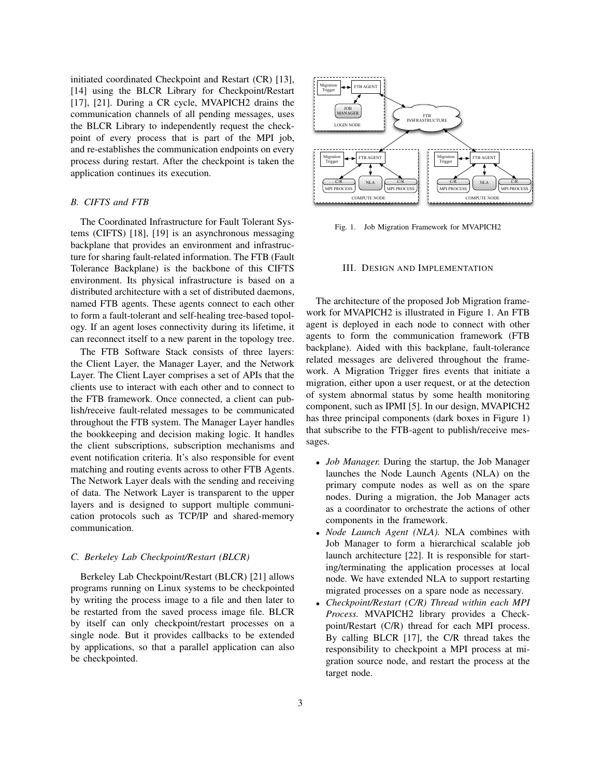initiated coordinated Checkpoint and Restart (CR) [13], [14] using the BLCR Library for Checkpoint/Restart [17], [21]. During a CR cycle, MVAPICH2 drains the communication channels of all pending messages, uses the BLCR Library to independently request the checkpoint of every process that is part of the MPI job, and re-establishes the communication endpoints on every process during restart. After the checkpoint is taken the application continues its execution.

# *B. CIFTS and FTB*

The Coordinated Infrastructure for Fault Tolerant Systems (CIFTS) [18], [19] is an asynchronous messaging backplane that provides an environment and infrastructure for sharing fault-related information. The FTB (Fault Tolerance Backplane) is the backbone of this CIFTS environment. Its physical infrastructure is based on a distributed architecture with a set of distributed daemons, named FTB agents. These agents connect to each other to form a fault-tolerant and self-healing tree-based topology. If an agent loses connectivity during its lifetime, it can reconnect itself to a new parent in the topology tree.

The FTB Software Stack consists of three layers: the Client Layer, the Manager Layer, and the Network Layer. The Client Layer comprises a set of APIs that the clients use to interact with each other and to connect to the FTB framework. Once connected, a client can publish/receive fault-related messages to be communicated throughout the FTB system. The Manager Layer handles the bookkeeping and decision making logic. It handles the client subscriptions, subscription mechanisms and event notification criteria. It's also responsible for event matching and routing events across to other FTB Agents. The Network Layer deals with the sending and receiving of data. The Network Layer is transparent to the upper layers and is designed to support multiple communication protocols such as TCP/IP and shared-memory communication.

## *C. Berkeley Lab Checkpoint/Restart (BLCR)*

Berkeley Lab Checkpoint/Restart (BLCR) [21] allows programs running on Linux systems to be checkpointed by writing the process image to a file and then later to be restarted from the saved process image file. BLCR by itself can only checkpoint/restart processes on a single node. But it provides callbacks to be extended by applications, so that a parallel application can also be checkpointed.



Fig. 1. Job Migration Framework for MVAPICH2

#### III. DESIGN AND IMPLEMENTATION

The architecture of the proposed Job Migration framework for MVAPICH2 is illustrated in Figure 1. An FTB agent is deployed in each node to connect with other agents to form the communication framework (FTB backplane). Aided with this backplane, fault-tolerance related messages are delivered throughout the framework. A Migration Trigger fires events that initiate a migration, either upon a user request, or at the detection of system abnormal status by some health monitoring component, such as IPMI [5]. In our design, MVAPICH2 has three principal components (dark boxes in Figure 1) that subscribe to the FTB-agent to publish/receive messages.

- *Job Manager.* During the startup, the Job Manager launches the Node Launch Agents (NLA) on the primary compute nodes as well as on the spare nodes. During a migration, the Job Manager acts as a coordinator to orchestrate the actions of other components in the framework.
- *Node Launch Agent (NLA).* NLA combines with Job Manager to form a hierarchical scalable job launch architecture [22]. It is responsible for starting/terminating the application processes at local node. We have extended NLA to support restarting migrated processes on a spare node as necessary.
- *Checkpoint/Restart (C/R) Thread within each MPI Process.* MVAPICH2 library provides a Checkpoint/Restart (C/R) thread for each MPI process. By calling BLCR [17], the C/R thread takes the responsibility to checkpoint a MPI process at migration source node, and restart the process at the target node.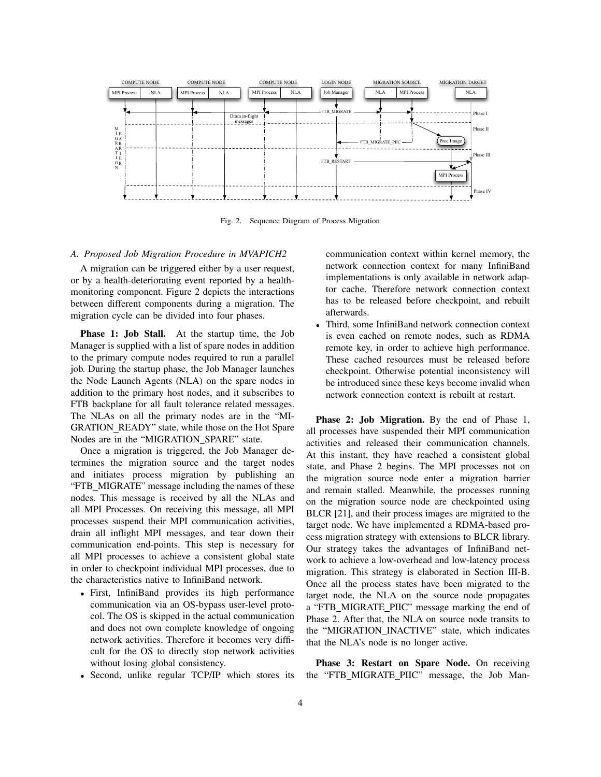

Fig. 2. Sequence Diagram of Process Migration

# *A. Proposed Job Migration Procedure in MVAPICH2*

A migration can be triggered either by a user request, or by a health-deteriorating event reported by a healthmonitoring component. Figure 2 depicts the interactions between different components during a migration. The migration cycle can be divided into four phases.

Phase 1: Job Stall. At the startup time, the Job Manager is supplied with a list of spare nodes in addition to the primary compute nodes required to run a parallel job. During the startup phase, the Job Manager launches the Node Launch Agents (NLA) on the spare nodes in addition to the primary host nodes, and it subscribes to FTB backplane for all fault tolerance related messages. The NLAs on all the primary nodes are in the "MI-GRATION READY" state, while those on the Hot Spare Nodes are in the "MIGRATION\_SPARE" state.

Once a migration is triggered, the Job Manager determines the migration source and the target nodes and initiates process migration by publishing an "FTB MIGRATE" message including the names of these nodes. This message is received by all the NLAs and all MPI Processes. On receiving this message, all MPI processes suspend their MPI communication activities, drain all inflight MPI messages, and tear down their communication end-points. This step is necessary for all MPI processes to achieve a consistent global state in order to checkpoint individual MPI processes, due to the characteristics native to InfiniBand network.

- First, InfiniBand provides its high performance communication via an OS-bypass user-level protocol. The OS is skipped in the actual communication and does not own complete knowledge of ongoing network activities. Therefore it becomes very difficult for the OS to directly stop network activities without losing global consistency.
- Second, unlike regular TCP/IP which stores its

communication context within kernel memory, the network connection context for many InfiniBand implementations is only available in network adaptor cache. Therefore network connection context has to be released before checkpoint, and rebuilt afterwards.

• Third, some InfiniBand network connection context is even cached on remote nodes, such as RDMA remote key, in order to achieve high performance. These cached resources must be released before checkpoint. Otherwise potential inconsistency will be introduced since these keys become invalid when network connection context is rebuilt at restart.

Phase 2: Job Migration. By the end of Phase 1, all processes have suspended their MPI communication activities and released their communication channels. At this instant, they have reached a consistent global state, and Phase 2 begins. The MPI processes not on the migration source node enter a migration barrier and remain stalled. Meanwhile, the processes running on the migration source node are checkpointed using BLCR [21], and their process images are migrated to the target node. We have implemented a RDMA-based process migration strategy with extensions to BLCR library. Our strategy takes the advantages of InfiniBand network to achieve a low-overhead and low-latency process migration. This strategy is elaborated in Section III-B. Once all the process states have been migrated to the target node, the NLA on the source node propagates a "FTB MIGRATE PIIC" message marking the end of Phase 2. After that, the NLA on source node transits to the "MIGRATION INACTIVE" state, which indicates that the NLA's node is no longer active.

Phase 3: Restart on Spare Node. On receiving the "FTB MIGRATE PIIC" message, the Job Man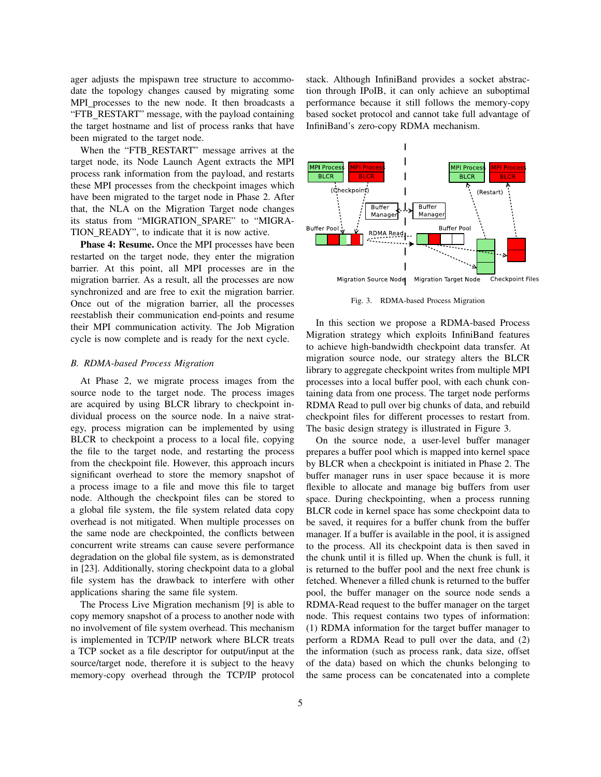ager adjusts the mpispawn tree structure to accommodate the topology changes caused by migrating some MPI\_processes to the new node. It then broadcasts a "FTB RESTART" message, with the payload containing the target hostname and list of process ranks that have been migrated to the target node.

When the "FTB RESTART" message arrives at the target node, its Node Launch Agent extracts the MPI process rank information from the payload, and restarts these MPI processes from the checkpoint images which have been migrated to the target node in Phase 2. After that, the NLA on the Migration Target node changes its status from "MIGRATION\_SPARE" to "MIGRA-TION READY", to indicate that it is now active.

Phase 4: Resume. Once the MPI processes have been restarted on the target node, they enter the migration barrier. At this point, all MPI processes are in the migration barrier. As a result, all the processes are now synchronized and are free to exit the migration barrier. Once out of the migration barrier, all the processes reestablish their communication end-points and resume their MPI communication activity. The Job Migration cycle is now complete and is ready for the next cycle.

## *B. RDMA-based Process Migration*

At Phase 2, we migrate process images from the source node to the target node. The process images are acquired by using BLCR library to checkpoint individual process on the source node. In a naive strategy, process migration can be implemented by using BLCR to checkpoint a process to a local file, copying the file to the target node, and restarting the process from the checkpoint file. However, this approach incurs significant overhead to store the memory snapshot of a process image to a file and move this file to target node. Although the checkpoint files can be stored to a global file system, the file system related data copy overhead is not mitigated. When multiple processes on the same node are checkpointed, the conflicts between concurrent write streams can cause severe performance degradation on the global file system, as is demonstrated in [23]. Additionally, storing checkpoint data to a global file system has the drawback to interfere with other applications sharing the same file system.

The Process Live Migration mechanism [9] is able to copy memory snapshot of a process to another node with no involvement of file system overhead. This mechanism is implemented in TCP/IP network where BLCR treats a TCP socket as a file descriptor for output/input at the source/target node, therefore it is subject to the heavy memory-copy overhead through the TCP/IP protocol

stack. Although InfiniBand provides a socket abstraction through IPoIB, it can only achieve an suboptimal performance because it still follows the memory-copy based socket protocol and cannot take full advantage of InfiniBand's zero-copy RDMA mechanism.



Fig. 3. RDMA-based Process Migration

In this section we propose a RDMA-based Process Migration strategy which exploits InfiniBand features to achieve high-bandwidth checkpoint data transfer. At migration source node, our strategy alters the BLCR library to aggregate checkpoint writes from multiple MPI processes into a local buffer pool, with each chunk containing data from one process. The target node performs RDMA Read to pull over big chunks of data, and rebuild checkpoint files for different processes to restart from. The basic design strategy is illustrated in Figure 3.

On the source node, a user-level buffer manager prepares a buffer pool which is mapped into kernel space by BLCR when a checkpoint is initiated in Phase 2. The buffer manager runs in user space because it is more flexible to allocate and manage big buffers from user space. During checkpointing, when a process running BLCR code in kernel space has some checkpoint data to be saved, it requires for a buffer chunk from the buffer manager. If a buffer is available in the pool, it is assigned to the process. All its checkpoint data is then saved in the chunk until it is filled up. When the chunk is full, it is returned to the buffer pool and the next free chunk is fetched. Whenever a filled chunk is returned to the buffer pool, the buffer manager on the source node sends a RDMA-Read request to the buffer manager on the target node. This request contains two types of information: (1) RDMA information for the target buffer manager to perform a RDMA Read to pull over the data, and (2) the information (such as process rank, data size, offset of the data) based on which the chunks belonging to the same process can be concatenated into a complete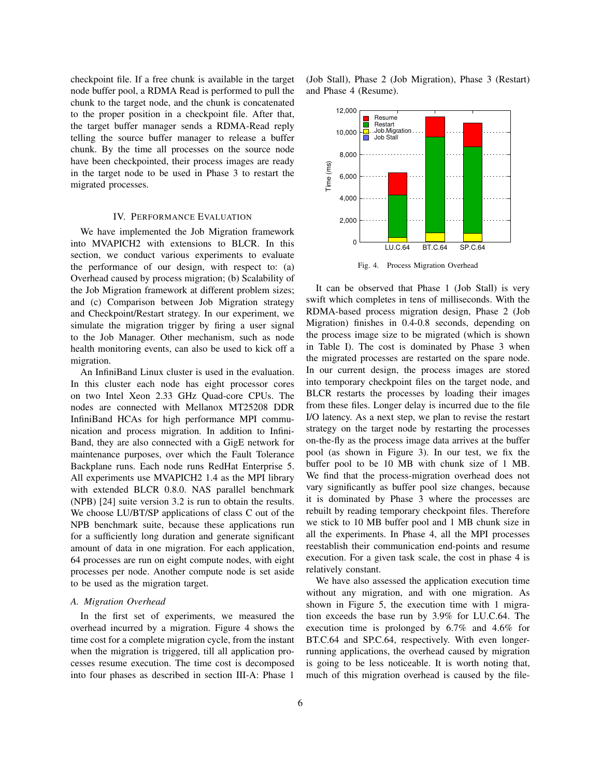checkpoint file. If a free chunk is available in the target node buffer pool, a RDMA Read is performed to pull the chunk to the target node, and the chunk is concatenated to the proper position in a checkpoint file. After that, the target buffer manager sends a RDMA-Read reply telling the source buffer manager to release a buffer chunk. By the time all processes on the source node have been checkpointed, their process images are ready in the target node to be used in Phase 3 to restart the migrated processes.

## IV. PERFORMANCE EVALUATION

We have implemented the Job Migration framework into MVAPICH2 with extensions to BLCR. In this section, we conduct various experiments to evaluate the performance of our design, with respect to: (a) Overhead caused by process migration; (b) Scalability of the Job Migration framework at different problem sizes; and (c) Comparison between Job Migration strategy and Checkpoint/Restart strategy. In our experiment, we simulate the migration trigger by firing a user signal to the Job Manager. Other mechanism, such as node health monitoring events, can also be used to kick off a migration.

An InfiniBand Linux cluster is used in the evaluation. In this cluster each node has eight processor cores on two Intel Xeon 2.33 GHz Quad-core CPUs. The nodes are connected with Mellanox MT25208 DDR InfiniBand HCAs for high performance MPI communication and process migration. In addition to Infini-Band, they are also connected with a GigE network for maintenance purposes, over which the Fault Tolerance Backplane runs. Each node runs RedHat Enterprise 5. All experiments use MVAPICH2 1.4 as the MPI library with extended BLCR 0.8.0. NAS parallel benchmark (NPB) [24] suite version 3.2 is run to obtain the results. We choose LU/BT/SP applications of class C out of the NPB benchmark suite, because these applications run for a sufficiently long duration and generate significant amount of data in one migration. For each application, 64 processes are run on eight compute nodes, with eight processes per node. Another compute node is set aside to be used as the migration target.

### *A. Migration Overhead*

In the first set of experiments, we measured the overhead incurred by a migration. Figure 4 shows the time cost for a complete migration cycle, from the instant when the migration is triggered, till all application processes resume execution. The time cost is decomposed into four phases as described in section III-A: Phase 1

(Job Stall), Phase 2 (Job Migration), Phase 3 (Restart) and Phase 4 (Resume).



It can be observed that Phase 1 (Job Stall) is very swift which completes in tens of milliseconds. With the RDMA-based process migration design, Phase 2 (Job Migration) finishes in 0.4-0.8 seconds, depending on the process image size to be migrated (which is shown in Table I). The cost is dominated by Phase 3 when the migrated processes are restarted on the spare node. In our current design, the process images are stored into temporary checkpoint files on the target node, and BLCR restarts the processes by loading their images from these files. Longer delay is incurred due to the file I/O latency. As a next step, we plan to revise the restart strategy on the target node by restarting the processes on-the-fly as the process image data arrives at the buffer pool (as shown in Figure 3). In our test, we fix the buffer pool to be 10 MB with chunk size of 1 MB. We find that the process-migration overhead does not vary significantly as buffer pool size changes, because it is dominated by Phase 3 where the processes are rebuilt by reading temporary checkpoint files. Therefore we stick to 10 MB buffer pool and 1 MB chunk size in all the experiments. In Phase 4, all the MPI processes reestablish their communication end-points and resume execution. For a given task scale, the cost in phase 4 is relatively constant.

We have also assessed the application execution time without any migration, and with one migration. As shown in Figure 5, the execution time with 1 migration exceeds the base run by 3.9% for LU.C.64. The execution time is prolonged by 6.7% and 4.6% for BT.C.64 and SP.C.64, respectively. With even longerrunning applications, the overhead caused by migration is going to be less noticeable. It is worth noting that, much of this migration overhead is caused by the file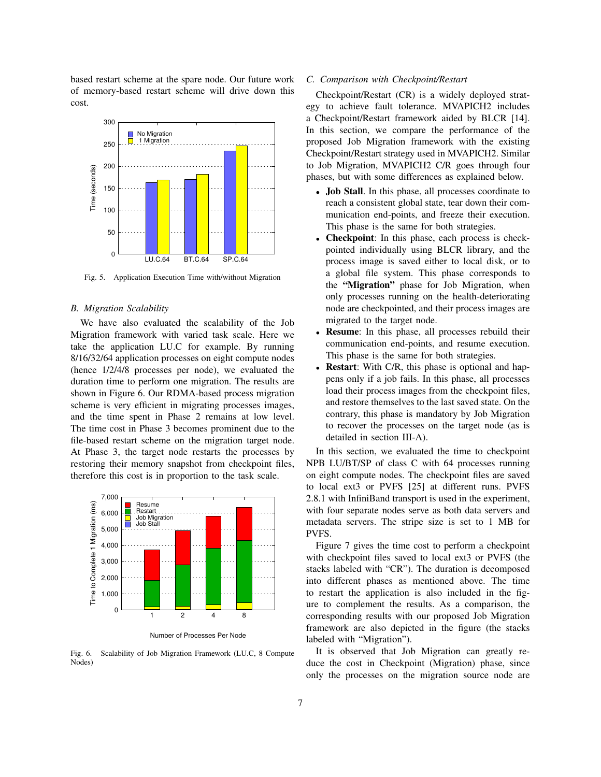based restart scheme at the spare node. Our future work of memory-based restart scheme will drive down this cost.



Fig. 5. Application Execution Time with/without Migration

## *B. Migration Scalability*

We have also evaluated the scalability of the Job Migration framework with varied task scale. Here we take the application LU.C for example. By running 8/16/32/64 application processes on eight compute nodes (hence 1/2/4/8 processes per node), we evaluated the duration time to perform one migration. The results are shown in Figure 6. Our RDMA-based process migration scheme is very efficient in migrating processes images, and the time spent in Phase 2 remains at low level. The time cost in Phase 3 becomes prominent due to the file-based restart scheme on the migration target node. At Phase 3, the target node restarts the processes by restoring their memory snapshot from checkpoint files, therefore this cost is in proportion to the task scale.



Number of Processes Per Node

Fig. 6. Scalability of Job Migration Framework (LU.C, 8 Compute Nodes)

#### *C. Comparison with Checkpoint/Restart*

Checkpoint/Restart (CR) is a widely deployed strategy to achieve fault tolerance. MVAPICH2 includes a Checkpoint/Restart framework aided by BLCR [14]. In this section, we compare the performance of the proposed Job Migration framework with the existing Checkpoint/Restart strategy used in MVAPICH2. Similar to Job Migration, MVAPICH2 C/R goes through four phases, but with some differences as explained below.

- Job Stall. In this phase, all processes coordinate to reach a consistent global state, tear down their communication end-points, and freeze their execution. This phase is the same for both strategies.
- Checkpoint: In this phase, each process is checkpointed individually using BLCR library, and the process image is saved either to local disk, or to a global file system. This phase corresponds to the "Migration" phase for Job Migration, when only processes running on the health-deteriorating node are checkpointed, and their process images are migrated to the target node.
- Resume: In this phase, all processes rebuild their communication end-points, and resume execution. This phase is the same for both strategies.
- **Restart**: With C/R, this phase is optional and happens only if a job fails. In this phase, all processes load their process images from the checkpoint files, and restore themselves to the last saved state. On the contrary, this phase is mandatory by Job Migration to recover the processes on the target node (as is detailed in section III-A).

In this section, we evaluated the time to checkpoint NPB LU/BT/SP of class C with 64 processes running on eight compute nodes. The checkpoint files are saved to local ext3 or PVFS [25] at different runs. PVFS 2.8.1 with InfiniBand transport is used in the experiment, with four separate nodes serve as both data servers and metadata servers. The stripe size is set to 1 MB for PVFS.

Figure 7 gives the time cost to perform a checkpoint with checkpoint files saved to local ext3 or PVFS (the stacks labeled with "CR"). The duration is decomposed into different phases as mentioned above. The time to restart the application is also included in the figure to complement the results. As a comparison, the corresponding results with our proposed Job Migration framework are also depicted in the figure (the stacks labeled with "Migration").

It is observed that Job Migration can greatly reduce the cost in Checkpoint (Migration) phase, since only the processes on the migration source node are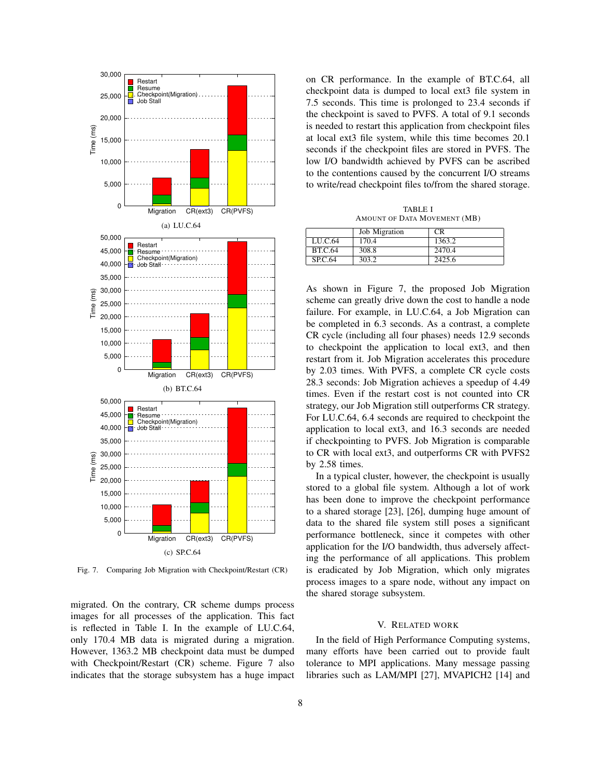

Fig. 7. Comparing Job Migration with Checkpoint/Restart (CR)

migrated. On the contrary, CR scheme dumps process images for all processes of the application. This fact is reflected in Table I. In the example of LU.C.64, only 170.4 MB data is migrated during a migration. However, 1363.2 MB checkpoint data must be dumped with Checkpoint/Restart (CR) scheme. Figure 7 also indicates that the storage subsystem has a huge impact on CR performance. In the example of BT.C.64, all checkpoint data is dumped to local ext3 file system in 7.5 seconds. This time is prolonged to 23.4 seconds if the checkpoint is saved to PVFS. A total of 9.1 seconds is needed to restart this application from checkpoint files at local ext3 file system, while this time becomes 20.1 seconds if the checkpoint files are stored in PVFS. The low I/O bandwidth achieved by PVFS can be ascribed to the contentions caused by the concurrent I/O streams to write/read checkpoint files to/from the shared storage.

TABLE I AMOUNT OF DATA MOVEMENT (MB)

|                | <b>Job</b> Migration | CR.    |
|----------------|----------------------|--------|
| LU.C.64        | 170.4                | 1363.2 |
| <b>BT.C.64</b> | 308.8                | 2470.4 |
| <b>SP.C.64</b> | 303.2                | 2425.6 |

As shown in Figure 7, the proposed Job Migration scheme can greatly drive down the cost to handle a node failure. For example, in LU.C.64, a Job Migration can be completed in 6.3 seconds. As a contrast, a complete CR cycle (including all four phases) needs 12.9 seconds to checkpoint the application to local ext3, and then restart from it. Job Migration accelerates this procedure by 2.03 times. With PVFS, a complete CR cycle costs 28.3 seconds: Job Migration achieves a speedup of 4.49 times. Even if the restart cost is not counted into CR strategy, our Job Migration still outperforms CR strategy. For LU.C.64, 6.4 seconds are required to checkpoint the application to local ext3, and 16.3 seconds are needed if checkpointing to PVFS. Job Migration is comparable to CR with local ext3, and outperforms CR with PVFS2 by 2.58 times.

In a typical cluster, however, the checkpoint is usually stored to a global file system. Although a lot of work has been done to improve the checkpoint performance to a shared storage [23], [26], dumping huge amount of data to the shared file system still poses a significant performance bottleneck, since it competes with other application for the I/O bandwidth, thus adversely affecting the performance of all applications. This problem is eradicated by Job Migration, which only migrates process images to a spare node, without any impact on the shared storage subsystem.

#### V. RELATED WORK

In the field of High Performance Computing systems, many efforts have been carried out to provide fault tolerance to MPI applications. Many message passing libraries such as LAM/MPI [27], MVAPICH2 [14] and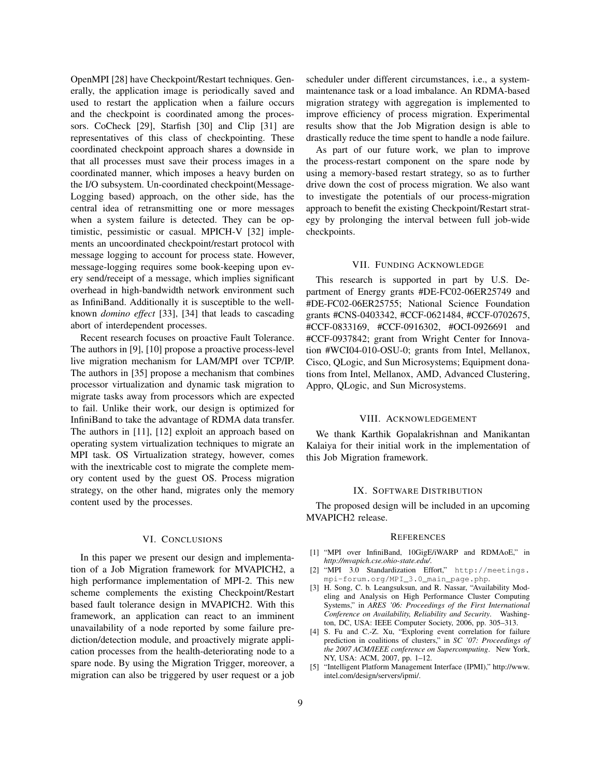OpenMPI [28] have Checkpoint/Restart techniques. Generally, the application image is periodically saved and used to restart the application when a failure occurs and the checkpoint is coordinated among the processors. CoCheck [29], Starfish [30] and Clip [31] are representatives of this class of checkpointing. These coordinated checkpoint approach shares a downside in that all processes must save their process images in a coordinated manner, which imposes a heavy burden on the I/O subsystem. Un-coordinated checkpoint(Message-Logging based) approach, on the other side, has the central idea of retransmitting one or more messages when a system failure is detected. They can be optimistic, pessimistic or casual. MPICH-V [32] implements an uncoordinated checkpoint/restart protocol with message logging to account for process state. However, message-logging requires some book-keeping upon every send/receipt of a message, which implies significant overhead in high-bandwidth network environment such as InfiniBand. Additionally it is susceptible to the wellknown *domino effect* [33], [34] that leads to cascading abort of interdependent processes.

Recent research focuses on proactive Fault Tolerance. The authors in [9], [10] propose a proactive process-level live migration mechanism for LAM/MPI over TCP/IP. The authors in [35] propose a mechanism that combines processor virtualization and dynamic task migration to migrate tasks away from processors which are expected to fail. Unlike their work, our design is optimized for InfiniBand to take the advantage of RDMA data transfer. The authors in [11], [12] exploit an approach based on operating system virtualization techniques to migrate an MPI task. OS Virtualization strategy, however, comes with the inextricable cost to migrate the complete memory content used by the guest OS. Process migration strategy, on the other hand, migrates only the memory content used by the processes.

## VI. CONCLUSIONS

In this paper we present our design and implementation of a Job Migration framework for MVAPICH2, a high performance implementation of MPI-2. This new scheme complements the existing Checkpoint/Restart based fault tolerance design in MVAPICH2. With this framework, an application can react to an imminent unavailability of a node reported by some failure prediction/detection module, and proactively migrate application processes from the health-deteriorating node to a spare node. By using the Migration Trigger, moreover, a migration can also be triggered by user request or a job

scheduler under different circumstances, i.e., a systemmaintenance task or a load imbalance. An RDMA-based migration strategy with aggregation is implemented to improve efficiency of process migration. Experimental results show that the Job Migration design is able to drastically reduce the time spent to handle a node failure.

As part of our future work, we plan to improve the process-restart component on the spare node by using a memory-based restart strategy, so as to further drive down the cost of process migration. We also want to investigate the potentials of our process-migration approach to benefit the existing Checkpoint/Restart strategy by prolonging the interval between full job-wide checkpoints.

# VII. FUNDING ACKNOWLEDGE

This research is supported in part by U.S. Department of Energy grants #DE-FC02-06ER25749 and #DE-FC02-06ER25755; National Science Foundation grants #CNS-0403342, #CCF-0621484, #CCF-0702675, #CCF-0833169, #CCF-0916302, #OCI-0926691 and #CCF-0937842; grant from Wright Center for Innovation #WCI04-010-OSU-0; grants from Intel, Mellanox, Cisco, QLogic, and Sun Microsystems; Equipment donations from Intel, Mellanox, AMD, Advanced Clustering, Appro, QLogic, and Sun Microsystems.

### VIII. ACKNOWLEDGEMENT

We thank Karthik Gopalakrishnan and Manikantan Kalaiya for their initial work in the implementation of this Job Migration framework.

## IX. SOFTWARE DISTRIBUTION

The proposed design will be included in an upcoming MVAPICH2 release.

#### **REFERENCES**

- [1] "MPI over InfiniBand, 10GigE/iWARP and RDMAoE," in *http://mvapich.cse.ohio-state.edu/*.
- [2] "MPI 3.0 Standardization Effort," http://meetings. mpi-forum.org/MPI\_3.0\_main\_page.php.
- [3] H. Song, C. b. Leangsuksun, and R. Nassar, "Availability Modeling and Analysis on High Performance Cluster Computing Systems," in *ARES '06: Proceedings of the First International Conference on Availability, Reliability and Security*. Washington, DC, USA: IEEE Computer Society, 2006, pp. 305–313.
- [4] S. Fu and C.-Z. Xu, "Exploring event correlation for failure prediction in coalitions of clusters," in *SC '07: Proceedings of the 2007 ACM/IEEE conference on Supercomputing*. New York, NY, USA: ACM, 2007, pp. 1–12.
- [5] "Intelligent Platform Management Interface (IPMI)," http://www. intel.com/design/servers/ipmi/.